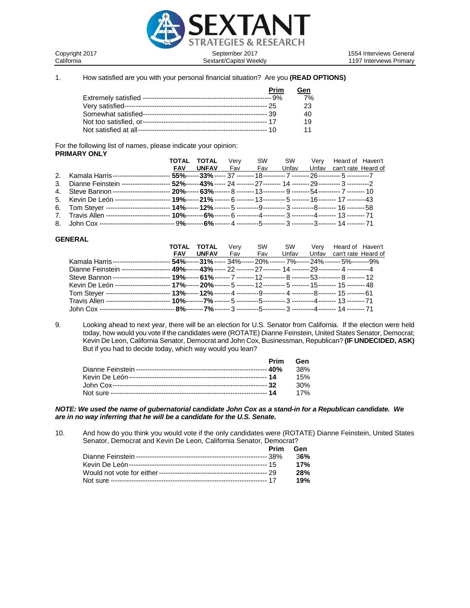

Copyright 2017 **September 2017** September 2017<br>California **Sextant/Capitol Weekly** California 1197 Interviews Primary 1197 Interviews Primary

1. How satisfied are you with your personal financial situation? Are you **(READ OPTIONS)**

| Prim | Gen |
|------|-----|
|      | 7%  |
|      | 23  |
|      | 40  |
|      | 19  |
|      | 11  |

For the following list of names, please indicate your opinion: **PRIMARY ONLY**

|                                                                                                                                   | TOTAL | TOTAL            | Verv |     |  | SW SW Verv Heard of Haven't     |  |
|-----------------------------------------------------------------------------------------------------------------------------------|-------|------------------|------|-----|--|---------------------------------|--|
|                                                                                                                                   |       | <b>FAV UNFAV</b> | Fav  | Fav |  | Unfay Unfay can't rate Heard of |  |
| 2. Kamala Harris ------------------------- 55%------ 33% ----- 37 -------- 18 ---------- 7 -------- 26 ---------- 5 ----------- 7 |       |                  |      |     |  |                                 |  |
| 3. Dianne Feinstein --------------------- 52%------ 43% ----- 24 -------- 27 -------- 14 -------- 29 ---------- 3 ---------- 2    |       |                  |      |     |  |                                 |  |
| 4. Steve Bannon -------------------------- 20%------ 63%------- 8 ------- 13----------- 9 -------- 54----------- 7 -------- 10    |       |                  |      |     |  |                                 |  |
| 5. Kevin De León ------------------------- 19%------ 21% ------- 6 ------- 13 --------- 5 -------- 16 -------- 17 -------- 43     |       |                  |      |     |  |                                 |  |
| 6. Tom Steyer ---------------------------- 14%------ 12% ------- 5 ----------9----------- 3 ---------8-------- 16 --------58      |       |                  |      |     |  |                                 |  |
|                                                                                                                                   |       |                  |      |     |  |                                 |  |
|                                                                                                                                   |       |                  |      |     |  |                                 |  |

## **GENERAL**

|                                                                                                                             | TOTAL      | <b>TOTAL</b>                                                                        | Verv | <b>SW</b> | <b>SW</b> | Verv  | Heard of Haven't    |  |
|-----------------------------------------------------------------------------------------------------------------------------|------------|-------------------------------------------------------------------------------------|------|-----------|-----------|-------|---------------------|--|
|                                                                                                                             | <b>FAV</b> | <b>UNFAV</b>                                                                        | Fav  | Fav       | Unfav     | Unfav | can't rate Heard of |  |
| Kamala Harris----                                                                                                           |            | . <b>54%------31% -----</b> 34%------ 20% ------- 7%------ 24% ------- 5%--------9% |      |           |           |       |                     |  |
| Dianne Feinstein ---------------------- 49%------ 43% ----- 22 -------- 27 -------- 14 -------- 29 ---------- 4 ----------4 |            |                                                                                     |      |           |           |       |                     |  |
| ------------------- 19%------ 61%------- 7 -------- 12---------- 8 -------- 53---------- 8 -------- 12<br>Steve Bannon---   |            |                                                                                     |      |           |           |       |                     |  |
|                                                                                                                             |            |                                                                                     |      |           |           |       |                     |  |
| Tom Stever ------                                                                                                           |            |                                                                                     |      |           |           |       |                     |  |
| Travis Allen ------                                                                                                         |            |                                                                                     |      |           |           |       |                     |  |
|                                                                                                                             |            |                                                                                     |      |           |           |       |                     |  |

9. Looking ahead to next year, there will be an election for U.S. Senator from California. If the election were held today, how would you vote if the candidates were (ROTATE) Dianne Feinstein, United States Senator, Democrat; Kevin De Leon, California Senator, Democrat and John Cox, Businessman, Republican? **(IF UNDECIDED, ASK)** But if you had to decide today, which way would you lean?

| Prim | Gen |
|------|-----|
|      |     |
|      | 15% |
|      | 30% |
|      | 17% |

*NOTE: We used the name of gubernatorial candidate John Cox as a stand-in for a Republican candidate. We are in no way inferring that he will be a candidate for the U.S. Senate.* 

10. And how do you think you would vote if the only candidates were (ROTATE) Dianne Feinstein, United States Senator, Democrat and Kevin De Leon, California Senator, Democrat?

|  | Prim Gen |
|--|----------|
|  |          |
|  | 17%      |
|  | 28%      |
|  | 19%      |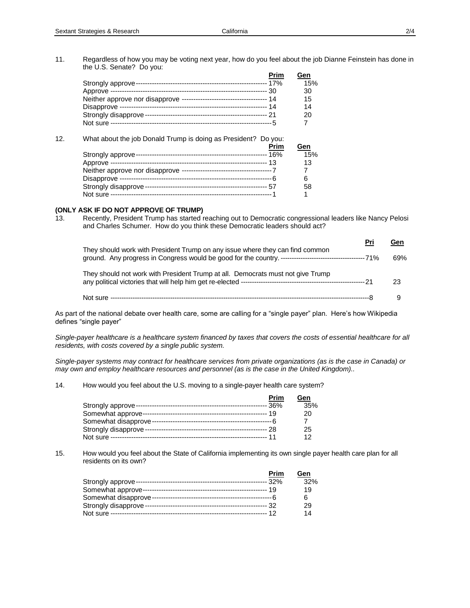11. Regardless of how you may be voting next year, how do you feel about the job Dianne Feinstein has done in the U.S. Senate? Do you: **Prim Gen**

|  | Prim | Gen |
|--|------|-----|
|  |      | 15% |
|  |      | 30  |
|  |      | 15  |
|  |      | 14  |
|  |      | 20  |
|  |      |     |
|  |      |     |

| 12. | What about the job Donald Trump is doing as President? Do you: |     |
|-----|----------------------------------------------------------------|-----|
|     | Prim                                                           | Gen |
|     |                                                                | 15% |
|     |                                                                | 13  |
|     |                                                                |     |
|     |                                                                | 6   |
|     |                                                                | 58  |
|     |                                                                |     |

# **(ONLY ASK IF DO NOT APPROVE OF TRUMP)**

13. Recently, President Trump has started reaching out to Democratic congressional leaders like Nancy Pelosi and Charles Schumer. How do you think these Democratic leaders should act?

|                                                                                 | Pri | Gen |
|---------------------------------------------------------------------------------|-----|-----|
| They should work with President Trump on any issue where they can find common   |     | 69% |
| They should not work with President Trump at all. Democrats must not give Trump |     | 23  |
|                                                                                 |     |     |

As part of the national debate over health care, some are calling for a "single payer" plan. Here's how Wikipedia defines "single payer"

*Single-payer healthcare is a healthcare system financed by taxes that covers the costs of essential healthcare for all residents, with costs covered by a single public system.* 

*Single-payer systems may contract for healthcare services from private organizations (as is the case in Canada) or may own and employ healthcare resources and personnel (as is the case in the United Kingdom)..*

14. How would you feel about the U.S. moving to a single-payer health care system?

| Prim | Gen |
|------|-----|
|      | 35% |
|      | 20  |
|      |     |
|      | 25  |
|      |     |

15. How would you feel about the State of California implementing its own single payer health care plan for all residents on its own?

|                      | Prim | Gen |
|----------------------|------|-----|
|                      |      | 32% |
|                      |      | 19  |
| Somewhat disapprove- |      |     |
|                      |      | 29  |
|                      |      | 14  |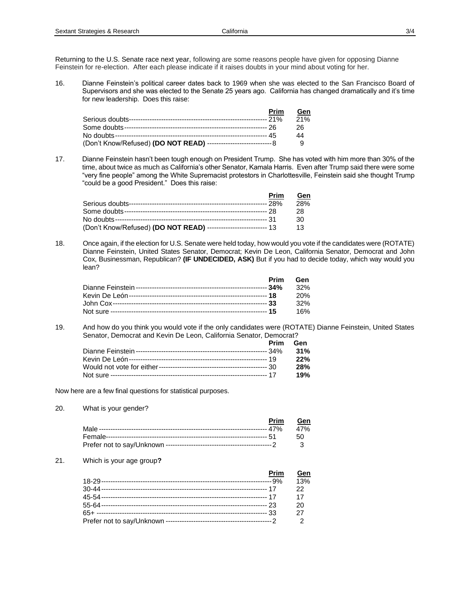Returning to the U.S. Senate race next year, following are some reasons people have given for opposing Dianne Feinstein for re-election. After each please indicate if it raises doubts in your mind about voting for her.

16. Dianne Feinstein's political career dates back to 1969 when she was elected to the San Francisco Board of Supervisors and she was elected to the Senate 25 years ago. California has changed dramatically and it's time for new leadership. Does this raise:

|                                                                        | <b>Prim</b> | Gen |
|------------------------------------------------------------------------|-------------|-----|
|                                                                        |             | 21% |
|                                                                        |             | 26  |
|                                                                        |             | 44  |
| (Don't Know/Refused) (DO NOT READ) --------------------------------- 8 |             |     |

17. Dianne Feinstein hasn't been tough enough on President Trump. She has voted with him more than 30% of the time, about twice as much as California's other Senator, Kamala Harris. Even after Trump said there were some "very fine people" among the White Supremacist protestors in Charlottesville, Feinstein said she thought Trump "could be a good President." Does this raise:

|                                                                  | Prim | <b>Gen</b> |
|------------------------------------------------------------------|------|------------|
|                                                                  |      | 28%        |
|                                                                  |      | 28.        |
|                                                                  |      | 30         |
| (Don't Know/Refused) (DO NOT READ) -------------------------- 13 |      | 13.        |

18. Once again, if the election for U.S. Senate were held today, how would you vote if the candidates were (ROTATE) Dianne Feinstein, United States Senator, Democrat; Kevin De Leon, California Senator, Democrat and John Cox, Businessman, Republican? **(IF UNDECIDED, ASK)** But if you had to decide today, which way would you lean?

| Prim | Gen    |
|------|--------|
|      | $32\%$ |
|      | -20%   |
|      | 32%    |
|      | 16%    |

19. And how do you think you would vote if the only candidates were (ROTATE) Dianne Feinstein, United States Senator, Democrat and Kevin De Leon, California Senator, Democrat?

| Prim | Gen |
|------|-----|
|      | 31% |
|      | 22% |
|      | 28% |
|      | 19% |

Now here are a few final questions for statistical purposes.

20. What is your gender?

| Prim Gen |  |
|----------|--|
|          |  |
|          |  |
|          |  |

21. Which is your age group**?**

| Prim | Gen |
|------|-----|
|      | 13% |
|      | 22  |
|      | 17  |
|      | 20  |
|      | 27  |
|      |     |